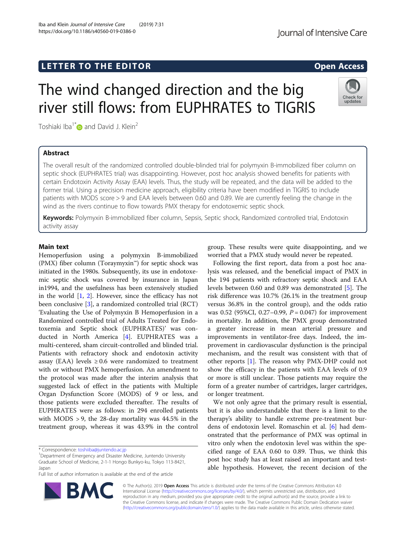# LETTER TO THE EDITOR **CONTROLL CONTROLLER TO THE EDITOR** CONTROLLER TO THE SECTION AND THE SECTION OF THE SECTION

# The wind changed direction and the big river still flows: from EUPHRATES to TIGRIS

Toshiaki Iba<sup>1[\\*](http://orcid.org/0000-0002-0255-4088)</sup> $\bullet$  and David J. Klein<sup>2</sup>

## Abstract

The overall result of the randomized controlled double-blinded trial for polymyxin B-immobilized fiber column on septic shock (EUPHRATES trial) was disappointing. However, post hoc analysis showed benefits for patients with certain Endotoxin Activity Assay (EAA) levels. Thus, the study will be repeated, and the data will be added to the former trial. Using a precision medicine approach, eligibility criteria have been modified in TIGRIS to include patients with MODS score > 9 and EAA levels between 0.60 and 0.89. We are currently feeling the change in the wind as the rivers continue to flow towards PMX therapy for endotoxemic septic shock.

Keywords: Polymyxin B-immobilized fiber column, Sepsis, Septic shock, Randomized controlled trial, Endotoxin activity assay

### Main text

Hemoperfusion using a polymyxin B-immobilized (PMX) fiber column (Toraymyxin™) for septic shock was initiated in the 1980s. Subsequently, its use in endotoxemic septic shock was covered by insurance in Japan in1994, and the usefulness has been extensively studied in the world [\[1](#page-1-0), [2](#page-1-0)]. However, since the efficacy has not been conclusive [[3\]](#page-1-0), a randomized controlled trial (RCT) 'Evaluating the Use of Polymyxin B Hemoperfusion in a Randomized controlled trial of Adults Treated for Endotoxemia and Septic shock (EUPHRATES)' was conducted in North America [[4\]](#page-1-0). EUPHRATES was a multi-centered, sham circuit-controlled and blinded trial. Patients with refractory shock and endotoxin activity assay (EAA) levels  $\geq 0.6$  were randomized to treatment with or without PMX hemoperfusion. An amendment to the protocol was made after the interim analysis that suggested lack of effect in the patients with Multiple Organ Dysfunction Score (MODS) of 9 or less, and those patients were excluded thereafter. The results of EUPHRATES were as follows: in 294 enrolled patients with MODS > 9, the 28-day mortality was 44.5% in the treatment group, whereas it was 43.9% in the control

<sup>1</sup>Department of Emergency and Disaster Medicine, Juntendo University Graduate School of Medicine, 2-1-1 Hongo Bunkyo-ku, Tokyo 113-8421, Japan

Full list of author information is available at the end of the article

group. These results were quite disappointing, and we worried that a PMX study would never be repeated.

Following the first report, data from a post hoc analysis was released, and the beneficial impact of PMX in the 194 patients with refractory septic shock and EAA levels between 0.60 and 0.89 was demonstrated [[5\]](#page-1-0). The risk difference was 10.7% (26.1% in the treatment group versus 36.8% in the control group), and the odds ratio was 0.52 (95%CI, 0.27–0.99,  $P = 0.047$ ) for improvement in mortality. In addition, the PMX group demonstrated a greater increase in mean arterial pressure and improvements in ventilator-free days. Indeed, the improvement in cardiovascular dysfunction is the principal mechanism, and the result was consistent with that of other reports [[1\]](#page-1-0). The reason why PMX-DHP could not show the efficacy in the patients with EAA levels of 0.9 or more is still unclear. Those patients may require the form of a greater number of cartridges, larger cartridges, or longer treatment.

We not only agree that the primary result is essential, but it is also understandable that there is a limit to the therapy's ability to handle extreme pre-treatment burdens of endotoxin level. Romaschin et al. [\[6](#page-1-0)] had demonstrated that the performance of PMX was optimal in vitro only when the endotoxin level was within the specified range of EAA 0.60 to 0.89. Thus, we think this post hoc study has at least raised an important and testable hypothesis. However, the recent decision of the

© The Author(s). 2019 Open Access This article is distributed under the terms of the Creative Commons Attribution 4.0 International License [\(http://creativecommons.org/licenses/by/4.0/](http://creativecommons.org/licenses/by/4.0/)), which permits unrestricted use, distribution, and reproduction in any medium, provided you give appropriate credit to the original author(s) and the source, provide a link to the Creative Commons license, and indicate if changes were made. The Creative Commons Public Domain Dedication waiver [\(http://creativecommons.org/publicdomain/zero/1.0/](http://creativecommons.org/publicdomain/zero/1.0/)) applies to the data made available in this article, unless otherwise stated.





<sup>\*</sup> Correspondence: [toshiiba@juntendo.ac.jp](mailto:toshiiba@juntendo.ac.jp) <sup>1</sup>